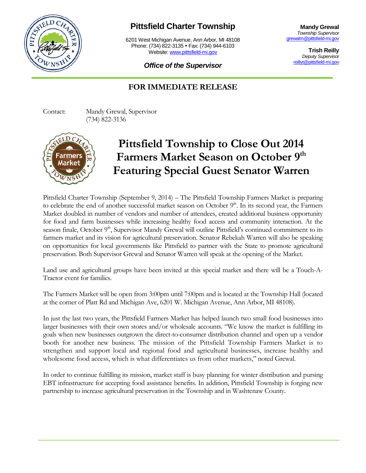

## **Pittsfield Charter Township**

6201 West Michigan Avenue, Ann Arbor, MI 48108 Phone: (734) 822-3135 • Fax: (734) 944-6103 Website: [www.pittsfield-mi.gov](http://www.pittsfield-mi.gov/)

**Mandy Grewal** *Township Supervisor* [grewalm@pittsfield-mi.gov](mailto:grewalm@pittsfield-mi.gov)

> **Trish Reilly** *Deputy Supervisor* [reillyt@pittsfield-mi.gov](mailto:reillyt@pittsfield-mi.gov)

*Office of the Supervisor*

## **FOR IMMEDIATE RELEASE**

Contact: Mandy Grewal, Supervisor (734) 822-3136



## **Pittsfield Township to Close Out 2014 Farmers Market Season on October 9th Featuring Special Guest Senator Warren**

Pittsfield Charter Township (September 9, 2014) – The Pittsfield Township Farmers Market is preparing to celebrate the end of another successful market season on October  $9<sup>th</sup>$ . In its second year, the Farmers Market doubled in number of vendors and number of attendees, created additional business opportunity for food and farm businesses while increasing healthy food access and community interaction. At the season finale, October 9<sup>th</sup>, Supervisor Mandy Grewal will outline Pittsfield's continued commitment to its farmers market and its vision for agricultural preservation. Senator Rebekah Warren will also be speaking on opportunities for local governments like Pittsfield to partner with the State to promote agricultural preservation. Both Supervisor Grewal and Senator Warren will speak at the opening of the Market.

Land use and agricultural groups have been invited at this special market and there will be a Touch-A-Tractor event for families.

The Farmers Market will be open from 3:00pm until 7:00pm and is located at the Township Hall (located at the corner of Platt Rd and Michigan Ave, 6201 W. Michigan Avenue, Ann Arbor, MI 48108).

In just the last two years, the Pittsfield Farmers Market has helped launch two small food businesses into larger businesses with their own stores and/or wholesale accounts. "We know the market is fulfilling its goals when new businesses outgrown the direct-to-consumer distribution channel and open up a vendor booth for another new business. The mission of the Pittsfield Township Farmers Market is to strengthen and support local and regional food and agricultural businesses, increase healthy and wholesome food access, which is what differentiates us from other markets," noted Grewal.

In order to continue fulfilling its mission, market staff is busy planning for winter distribution and pursing EBT infrastructure for accepting food assistance benefits. In addition, Pittsfield Township is forging new partnership to increase agricultural preservation in the Township and in Washtenaw County.